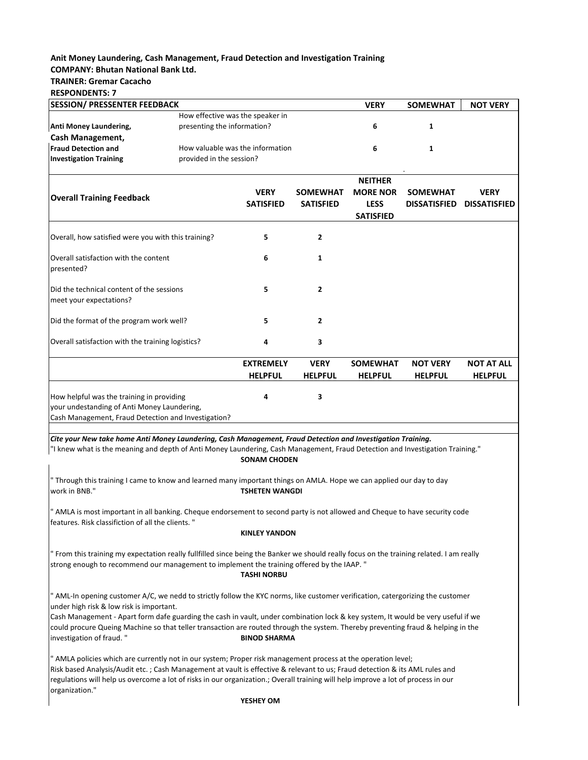# **Anit Money Laundering, Cash Management, Fraud Detection and Investigation Training COMPANY: Bhutan National Bank Ltd.**

## **TRAINER: Gremar Cacacho**

**RESPONDENTS: 7**

| <b>SESSION/ PRESSENTER FEEDBACK</b>                                                                                                             |  |                                  |                  | <b>VERY</b>      | <b>SOMEWHAT</b>     | <b>NOT VERY</b>     |
|-------------------------------------------------------------------------------------------------------------------------------------------------|--|----------------------------------|------------------|------------------|---------------------|---------------------|
|                                                                                                                                                 |  | How effective was the speaker in |                  |                  |                     |                     |
| Anti Money Laundering,<br>presenting the information?                                                                                           |  |                                  |                  | 6                | 1                   |                     |
| <b>Cash Management,</b>                                                                                                                         |  |                                  |                  |                  |                     |                     |
| <b>Fraud Detection and</b><br>How valuable was the information                                                                                  |  |                                  |                  | 6                | 1                   |                     |
| <b>Investigation Training</b><br>provided in the session?                                                                                       |  |                                  |                  |                  |                     |                     |
|                                                                                                                                                 |  |                                  |                  | <b>NEITHER</b>   |                     |                     |
| <b>Overall Training Feedback</b>                                                                                                                |  | <b>VERY</b>                      | <b>SOMEWHAT</b>  | <b>MORE NOR</b>  | <b>SOMEWHAT</b>     | <b>VERY</b>         |
|                                                                                                                                                 |  | <b>SATISFIED</b>                 | <b>SATISFIED</b> | <b>LESS</b>      | <b>DISSATISFIED</b> | <b>DISSATISFIED</b> |
|                                                                                                                                                 |  |                                  |                  | <b>SATISFIED</b> |                     |                     |
| Overall, how satisfied were you with this training?                                                                                             |  | 5                                | $\overline{2}$   |                  |                     |                     |
| Overall satisfaction with the content<br>presented?                                                                                             |  | 6                                | $\mathbf{1}$     |                  |                     |                     |
| Did the technical content of the sessions<br>meet your expectations?                                                                            |  | 5                                | $\mathbf{2}$     |                  |                     |                     |
| Did the format of the program work well?                                                                                                        |  | 5                                | $\overline{2}$   |                  |                     |                     |
| Overall satisfaction with the training logistics?                                                                                               |  | 4                                | 3                |                  |                     |                     |
|                                                                                                                                                 |  | <b>EXTREMELY</b>                 | <b>VERY</b>      | <b>SOMEWHAT</b>  | <b>NOT VERY</b>     | <b>NOT AT ALL</b>   |
|                                                                                                                                                 |  | <b>HELPFUL</b>                   | <b>HELPFUL</b>   | <b>HELPFUL</b>   | <b>HELPFUL</b>      | <b>HELPFUL</b>      |
| How helpful was the training in providing<br>your undestanding of Anti Money Laundering,<br>Cash Management, Fraud Detection and Investigation? |  | 4                                | 3                |                  |                     |                     |

*Cite your New take home Anti Money Laundering, Cash Management, Fraud Detection and Investigation Training.*

"I knew what is the meaning and depth of Anti Money Laundering, Cash Management, Fraud Detection and Investigation Training." **SONAM CHODEN**

" Through this training I came to know and learned many important things on AMLA. Hope we can applied our day to day work in BNB." **TSHETEN WANGDI**

" AMLA is most important in all banking. Cheque endorsement to second party is not allowed and Cheque to have security code features. Risk classifiction of all the clients. "

### **KINLEY YANDON**

" From this training my expectation really fullfilled since being the Banker we should really focus on the training related. I am really strong enough to recommend our management to implement the training offered by the IAAP. "

## **TASHI NORBU**

" AML-In opening customer A/C, we nedd to strictly follow the KYC norms, like customer verification, catergorizing the customer under high risk & low risk is important.

Cash Management - Apart form dafe guarding the cash in vault, under combination lock & key system, It would be very useful if we could procure Queing Machine so that teller transaction are routed through the system. Thereby preventing fraud & helping in the investigation of fraud. " **BINOD SHARMA** 

" AMLA policies which are currently not in our system; Proper risk management process at the operation level; Risk based Analysis/Audit etc. ; Cash Management at vault is effective & relevant to us; Fraud detection & its AML rules and regulations will help us overcome a lot of risks in our organization.; Overall training will help improve a lot of process in our organization."